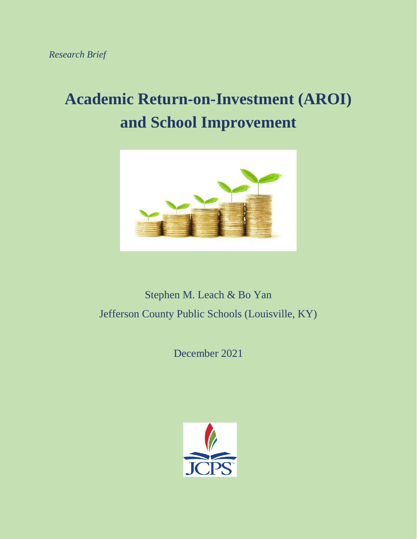# **Academic Return-on-Investment (AROI) and School Improvement**



Stephen M. Leach & Bo Yan Jefferson County Public Schools (Louisville, KY)

December 2021

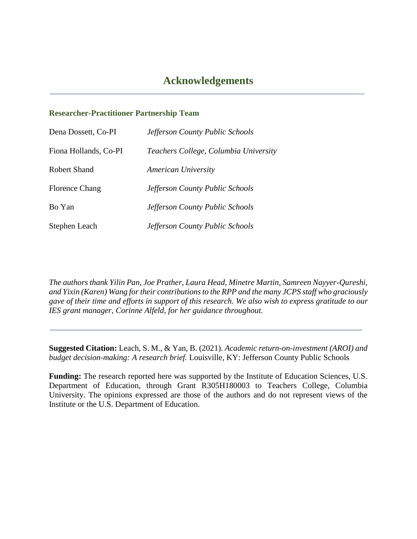#### **Researcher-Practitioner Partnership Team**

| Dena Dossett, Co-PI   | Jefferson County Public Schools       |
|-----------------------|---------------------------------------|
| Fiona Hollands, Co-PI | Teachers College, Columbia University |
| <b>Robert Shand</b>   | <b>American University</b>            |
| <b>Florence Chang</b> | Jefferson County Public Schools       |
| Bo Yan                | Jefferson County Public Schools       |
| Stephen Leach         | Jefferson County Public Schools       |

*The authors thank Yilin Pan, Joe Prather, Laura Head, Minetre Martin, Samreen Nayyer-Qureshi, and Yixin (Karen) Wang for their contributions to the RPP and the many JCPS staff who graciously gave of their time and efforts in support of this research. We also wish to express gratitude to our IES grant manager, Corinne Alfeld, for her guidance throughout.*

**Suggested Citation:** Leach, S. M., & Yan, B. (2021). *Academic return-on-investment (AROI) and budget decision-making: A research brief.* Louisville, KY: Jefferson County Public Schools

**Funding:** The research reported here was supported by the Institute of Education Sciences, U.S. Department of Education, through Grant R305H180003 to Teachers College, Columbia University. The opinions expressed are those of the authors and do not represent views of the Institute or the U.S. Department of Education.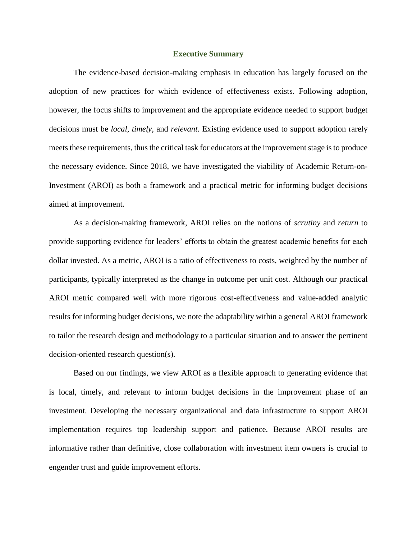#### **Executive Summary**

The evidence-based decision-making emphasis in education has largely focused on the adoption of new practices for which evidence of effectiveness exists. Following adoption, however, the focus shifts to improvement and the appropriate evidence needed to support budget decisions must be *local*, *timely*, and *relevant*. Existing evidence used to support adoption rarely meets these requirements, thus the critical task for educators at the improvement stage is to produce the necessary evidence. Since 2018, we have investigated the viability of Academic Return-on-Investment (AROI) as both a framework and a practical metric for informing budget decisions aimed at improvement.

As a decision-making framework, AROI relies on the notions of *scrutiny* and *return* to provide supporting evidence for leaders' efforts to obtain the greatest academic benefits for each dollar invested. As a metric, AROI is a ratio of effectiveness to costs, weighted by the number of participants, typically interpreted as the change in outcome per unit cost. Although our practical AROI metric compared well with more rigorous cost-effectiveness and value-added analytic results for informing budget decisions, we note the adaptability within a general AROI framework to tailor the research design and methodology to a particular situation and to answer the pertinent decision-oriented research question(s).

Based on our findings, we view AROI as a flexible approach to generating evidence that is local, timely, and relevant to inform budget decisions in the improvement phase of an investment. Developing the necessary organizational and data infrastructure to support AROI implementation requires top leadership support and patience. Because AROI results are informative rather than definitive, close collaboration with investment item owners is crucial to engender trust and guide improvement efforts.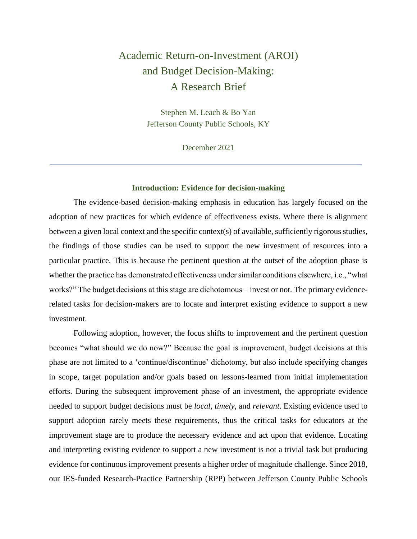# Academic Return-on-Investment (AROI) and Budget Decision-Making: A Research Brief

Stephen M. Leach & Bo Yan Jefferson County Public Schools, KY

December 2021

#### **Introduction: Evidence for decision-making**

The evidence-based decision-making emphasis in education has largely focused on the adoption of new practices for which evidence of effectiveness exists. Where there is alignment between a given local context and the specific context(s) of available, sufficiently rigorous studies, the findings of those studies can be used to support the new investment of resources into a particular practice. This is because the pertinent question at the outset of the adoption phase is whether the practice has demonstrated effectiveness under similar conditions elsewhere, i.e., "what works?" The budget decisions at this stage are dichotomous – invest or not. The primary evidencerelated tasks for decision-makers are to locate and interpret existing evidence to support a new investment.

Following adoption, however, the focus shifts to improvement and the pertinent question becomes "what should we do now?" Because the goal is improvement, budget decisions at this phase are not limited to a 'continue/discontinue' dichotomy, but also include specifying changes in scope, target population and/or goals based on lessons-learned from initial implementation efforts. During the subsequent improvement phase of an investment, the appropriate evidence needed to support budget decisions must be *local*, *timely*, and *relevant*. Existing evidence used to support adoption rarely meets these requirements, thus the critical tasks for educators at the improvement stage are to produce the necessary evidence and act upon that evidence. Locating and interpreting existing evidence to support a new investment is not a trivial task but producing evidence for continuous improvement presents a higher order of magnitude challenge. Since 2018, our IES-funded Research-Practice Partnership (RPP) between Jefferson County Public Schools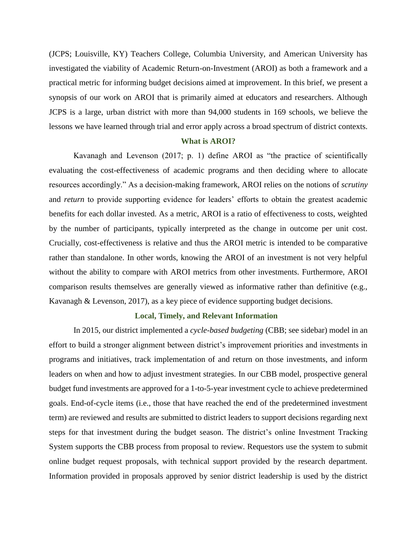(JCPS; Louisville, KY) Teachers College, Columbia University, and American University has investigated the viability of Academic Return-on-Investment (AROI) as both a framework and a practical metric for informing budget decisions aimed at improvement. In this brief, we present a synopsis of our work on AROI that is primarily aimed at educators and researchers. Although JCPS is a large, urban district with more than 94,000 students in 169 schools, we believe the lessons we have learned through trial and error apply across a broad spectrum of district contexts.

#### **What is AROI?**

Kavanagh and Levenson (2017; p. 1) define AROI as "the practice of scientifically evaluating the cost-effectiveness of academic programs and then deciding where to allocate resources accordingly." As a decision-making framework, AROI relies on the notions of *scrutiny* and *return* to provide supporting evidence for leaders' efforts to obtain the greatest academic benefits for each dollar invested. As a metric, AROI is a ratio of effectiveness to costs, weighted by the number of participants, typically interpreted as the change in outcome per unit cost. Crucially, cost-effectiveness is relative and thus the AROI metric is intended to be comparative rather than standalone. In other words, knowing the AROI of an investment is not very helpful without the ability to compare with AROI metrics from other investments. Furthermore, AROI comparison results themselves are generally viewed as informative rather than definitive (e.g., Kavanagh & Levenson, 2017), as a key piece of evidence supporting budget decisions.

#### **Local, Timely, and Relevant Information**

In 2015, our district implemented a *cycle-based budgeting* (CBB; see sidebar) model in an effort to build a stronger alignment between district's improvement priorities and investments in programs and initiatives, track implementation of and return on those investments, and inform leaders on when and how to adjust investment strategies. In our CBB model, prospective general budget fund investments are approved for a 1-to-5-year investment cycle to achieve predetermined goals. End-of-cycle items (i.e., those that have reached the end of the predetermined investment term) are reviewed and results are submitted to district leaders to support decisions regarding next steps for that investment during the budget season. The district's online Investment Tracking System supports the CBB process from proposal to review. Requestors use the system to submit online budget request proposals, with technical support provided by the research department. Information provided in proposals approved by senior district leadership is used by the district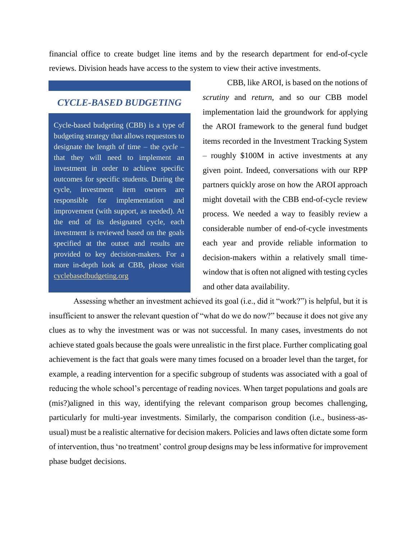financial office to create budget line items and by the research department for end-of-cycle reviews. Division heads have access to the system to view their active investments.

#### *CYCLE-BASED BUDGETING*

Cycle-based budgeting (CBB) is a type of budgeting strategy that allows requestors to designate the length of time – the *cycle* – that they will need to implement an investment in order to achieve specific outcomes for specific students. During the cycle, investment item owners are responsible for implementation and improvement (with support, as needed). At the end of its designated cycle, each investment is reviewed based on the goals specified at the outset and results are provided to key decision-makers. For a more in-depth look at CBB, please visit [cyclebasedbudgeting.org](http://www.cyclebasedbudgeting.org/)

CBB, like AROI, is based on the notions of *scrutiny* and *return*, and so our CBB model implementation laid the groundwork for applying the AROI framework to the general fund budget items recorded in the Investment Tracking System – roughly \$100M in active investments at any given point. Indeed, conversations with our RPP partners quickly arose on how the AROI approach might dovetail with the CBB end-of-cycle review process. We needed a way to feasibly review a considerable number of end-of-cycle investments each year and provide reliable information to decision-makers within a relatively small timewindow that is often not aligned with testing cycles and other data availability.

Assessing whether an investment achieved its goal (i.e., did it "work?") is helpful, but it is insufficient to answer the relevant question of "what do we do now?" because it does not give any clues as to why the investment was or was not successful. In many cases, investments do not achieve stated goals because the goals were unrealistic in the first place. Further complicating goal achievement is the fact that goals were many times focused on a broader level than the target, for example, a reading intervention for a specific subgroup of students was associated with a goal of reducing the whole school's percentage of reading novices. When target populations and goals are (mis?)aligned in this way, identifying the relevant comparison group becomes challenging, particularly for multi-year investments. Similarly, the comparison condition (i.e., business-asusual) must be a realistic alternative for decision makers. Policies and laws often dictate some form of intervention, thus 'no treatment' control group designs may be less informative for improvement phase budget decisions.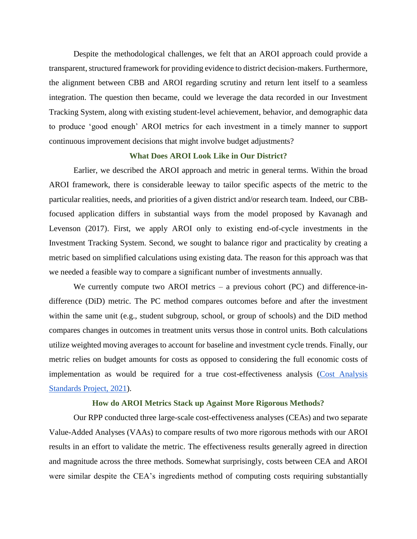Despite the methodological challenges, we felt that an AROI approach could provide a transparent, structured framework for providing evidence to district decision-makers. Furthermore, the alignment between CBB and AROI regarding scrutiny and return lent itself to a seamless integration. The question then became, could we leverage the data recorded in our Investment Tracking System, along with existing student-level achievement, behavior, and demographic data to produce 'good enough' AROI metrics for each investment in a timely manner to support continuous improvement decisions that might involve budget adjustments?

#### **What Does AROI Look Like in Our District?**

Earlier, we described the AROI approach and metric in general terms. Within the broad AROI framework, there is considerable leeway to tailor specific aspects of the metric to the particular realities, needs, and priorities of a given district and/or research team. Indeed, our CBBfocused application differs in substantial ways from the model proposed by Kavanagh and Levenson (2017). First, we apply AROI only to existing end-of-cycle investments in the Investment Tracking System. Second, we sought to balance rigor and practicality by creating a metric based on simplified calculations using existing data. The reason for this approach was that we needed a feasible way to compare a significant number of investments annually.

We currently compute two AROI metrics – a previous cohort (PC) and difference-indifference (DiD) metric. The PC method compares outcomes before and after the investment within the same unit (e.g., student subgroup, school, or group of schools) and the DiD method compares changes in outcomes in treatment units versus those in control units. Both calculations utilize weighted moving averages to account for baseline and investment cycle trends. Finally, our metric relies on budget amounts for costs as opposed to considering the full economic costs of implementation as would be required for a true cost-effectiveness analysis (Cost Analysis [Standards Project, 2021\)](https://www.air.org/sites/default/files/Standards-for-the-Economic-Evaluation-of-Educational-and-Social-Programs-CASP-May-2021.pdf).

#### **How do AROI Metrics Stack up Against More Rigorous Methods?**

Our RPP conducted three large-scale cost-effectiveness analyses (CEAs) and two separate Value-Added Analyses (VAAs) to compare results of two more rigorous methods with our AROI results in an effort to validate the metric. The effectiveness results generally agreed in direction and magnitude across the three methods. Somewhat surprisingly, costs between CEA and AROI were similar despite the CEA's ingredients method of computing costs requiring substantially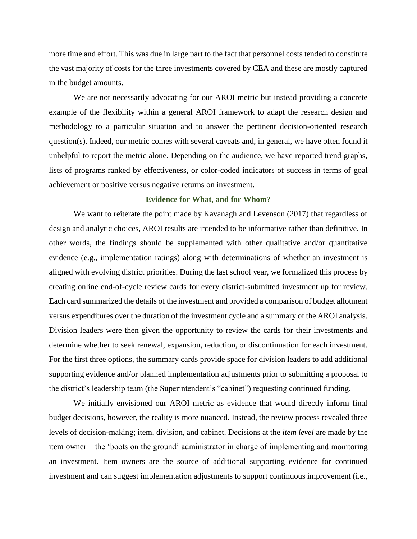more time and effort. This was due in large part to the fact that personnel costs tended to constitute the vast majority of costs for the three investments covered by CEA and these are mostly captured in the budget amounts.

We are not necessarily advocating for our AROI metric but instead providing a concrete example of the flexibility within a general AROI framework to adapt the research design and methodology to a particular situation and to answer the pertinent decision-oriented research question(s). Indeed, our metric comes with several caveats and, in general, we have often found it unhelpful to report the metric alone. Depending on the audience, we have reported trend graphs, lists of programs ranked by effectiveness, or color-coded indicators of success in terms of goal achievement or positive versus negative returns on investment.

#### **Evidence for What, and for Whom?**

We want to reiterate the point made by Kavanagh and Levenson (2017) that regardless of design and analytic choices, AROI results are intended to be informative rather than definitive. In other words, the findings should be supplemented with other qualitative and/or quantitative evidence (e.g., implementation ratings) along with determinations of whether an investment is aligned with evolving district priorities. During the last school year, we formalized this process by creating online end-of-cycle review cards for every district-submitted investment up for review. Each card summarized the details of the investment and provided a comparison of budget allotment versus expenditures over the duration of the investment cycle and a summary of the AROI analysis. Division leaders were then given the opportunity to review the cards for their investments and determine whether to seek renewal, expansion, reduction, or discontinuation for each investment. For the first three options, the summary cards provide space for division leaders to add additional supporting evidence and/or planned implementation adjustments prior to submitting a proposal to the district's leadership team (the Superintendent's "cabinet") requesting continued funding.

We initially envisioned our AROI metric as evidence that would directly inform final budget decisions, however, the reality is more nuanced. Instead, the review process revealed three levels of decision-making; item, division, and cabinet. Decisions at the *item level* are made by the item owner – the 'boots on the ground' administrator in charge of implementing and monitoring an investment. Item owners are the source of additional supporting evidence for continued investment and can suggest implementation adjustments to support continuous improvement (i.e.,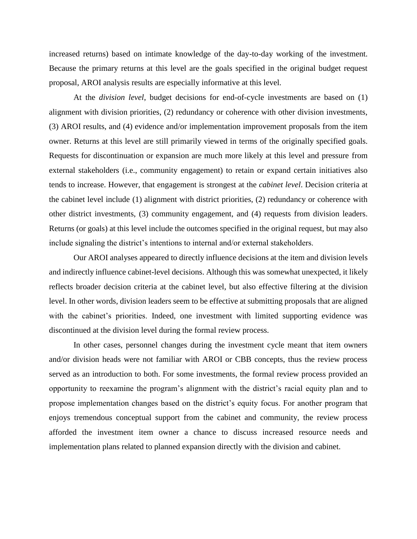increased returns) based on intimate knowledge of the day-to-day working of the investment. Because the primary returns at this level are the goals specified in the original budget request proposal, AROI analysis results are especially informative at this level.

At the *division level*, budget decisions for end-of-cycle investments are based on (1) alignment with division priorities, (2) redundancy or coherence with other division investments, (3) AROI results, and (4) evidence and/or implementation improvement proposals from the item owner. Returns at this level are still primarily viewed in terms of the originally specified goals. Requests for discontinuation or expansion are much more likely at this level and pressure from external stakeholders (i.e., community engagement) to retain or expand certain initiatives also tends to increase. However, that engagement is strongest at the *cabinet level*. Decision criteria at the cabinet level include (1) alignment with district priorities, (2) redundancy or coherence with other district investments, (3) community engagement, and (4) requests from division leaders. Returns (or goals) at this level include the outcomes specified in the original request, but may also include signaling the district's intentions to internal and/or external stakeholders.

Our AROI analyses appeared to directly influence decisions at the item and division levels and indirectly influence cabinet-level decisions. Although this was somewhat unexpected, it likely reflects broader decision criteria at the cabinet level, but also effective filtering at the division level. In other words, division leaders seem to be effective at submitting proposals that are aligned with the cabinet's priorities. Indeed, one investment with limited supporting evidence was discontinued at the division level during the formal review process.

In other cases, personnel changes during the investment cycle meant that item owners and/or division heads were not familiar with AROI or CBB concepts, thus the review process served as an introduction to both. For some investments, the formal review process provided an opportunity to reexamine the program's alignment with the district's racial equity plan and to propose implementation changes based on the district's equity focus. For another program that enjoys tremendous conceptual support from the cabinet and community, the review process afforded the investment item owner a chance to discuss increased resource needs and implementation plans related to planned expansion directly with the division and cabinet.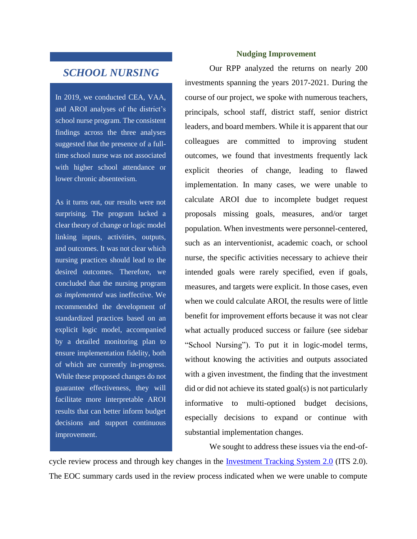### *SCHOOL NURSING*

In 2019, we conducted CEA, VAA, and AROI analyses of the district's school nurse program. The consistent findings across the three analyses suggested that the presence of a fulltime school nurse was not associated with higher school attendance or lower chronic absenteeism.

As it turns out, our results were not surprising. The program lacked a clear theory of change or logic model linking inputs, activities, outputs, and outcomes. It was not clear which nursing practices should lead to the desired outcomes. Therefore, we concluded that the nursing program *as implemented* was ineffective. We recommended the development of standardized practices based on an explicit logic model, accompanied by a detailed monitoring plan to ensure implementation fidelity, both of which are currently in-progress. While these proposed changes do not guarantee effectiveness, they will facilitate more interpretable AROI results that can better inform budget decisions and support continuous improvement.

#### **Nudging Improvement**

Our RPP analyzed the returns on nearly 200 investments spanning the years 2017-2021. During the course of our project, we spoke with numerous teachers, principals, school staff, district staff, senior district leaders, and board members. While it is apparent that our colleagues are committed to improving student outcomes, we found that investments frequently lack explicit theories of change, leading to flawed implementation. In many cases, we were unable to calculate AROI due to incomplete budget request proposals missing goals, measures, and/or target population. When investments were personnel-centered, such as an interventionist, academic coach, or school nurse, the specific activities necessary to achieve their intended goals were rarely specified, even if goals, measures, and targets were explicit. In those cases, even when we could calculate AROI, the results were of little benefit for improvement efforts because it was not clear what actually produced success or failure (see sidebar "School Nursing"). To put it in logic-model terms, without knowing the activities and outputs associated with a given investment, the finding that the investment did or did not achieve its stated goal(s) is not particularly informative to multi-optioned budget decisions, especially decisions to expand or continue with substantial implementation changes.

We sought to address these issues via the end-of-

cycle review process and through key changes in the [Investment Tracking System 2.0](https://www.jefferson.kyschools.us/sites/default/files/AROI_Brief_1_ARSI_Final.pdf) (ITS 2.0). The EOC summary cards used in the review process indicated when we were unable to compute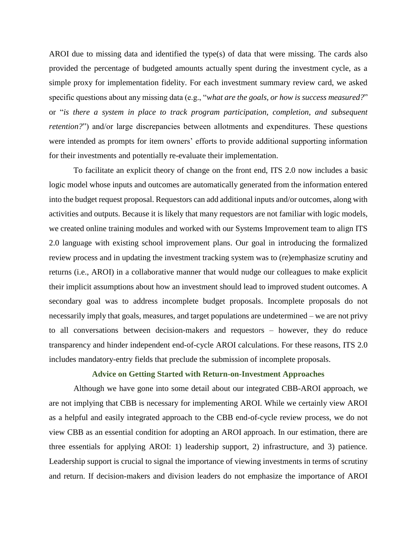AROI due to missing data and identified the type(s) of data that were missing. The cards also provided the percentage of budgeted amounts actually spent during the investment cycle, as a simple proxy for implementation fidelity. For each investment summary review card, we asked specific questions about any missing data (e.g., "*what are the goals, or how is success measured?*" or "*is there a system in place to track program participation, completion, and subsequent retention?*") and/or large discrepancies between allotments and expenditures. These questions were intended as prompts for item owners' efforts to provide additional supporting information for their investments and potentially re-evaluate their implementation.

To facilitate an explicit theory of change on the front end, ITS 2.0 now includes a basic logic model whose inputs and outcomes are automatically generated from the information entered into the budget request proposal. Requestors can add additional inputs and/or outcomes, along with activities and outputs. Because it is likely that many requestors are not familiar with logic models, we created online training modules and worked with our Systems Improvement team to align ITS 2.0 language with existing school improvement plans. Our goal in introducing the formalized review process and in updating the investment tracking system was to (re)emphasize scrutiny and returns (i.e., AROI) in a collaborative manner that would nudge our colleagues to make explicit their implicit assumptions about how an investment should lead to improved student outcomes. A secondary goal was to address incomplete budget proposals. Incomplete proposals do not necessarily imply that goals, measures, and target populations are undetermined – we are not privy to all conversations between decision-makers and requestors – however, they do reduce transparency and hinder independent end-of-cycle AROI calculations. For these reasons, ITS 2.0 includes mandatory-entry fields that preclude the submission of incomplete proposals.

#### **Advice on Getting Started with Return-on-Investment Approaches**

Although we have gone into some detail about our integrated CBB-AROI approach, we are not implying that CBB is necessary for implementing AROI. While we certainly view AROI as a helpful and easily integrated approach to the CBB end-of-cycle review process, we do not view CBB as an essential condition for adopting an AROI approach. In our estimation, there are three essentials for applying AROI: 1) leadership support, 2) infrastructure, and 3) patience. Leadership support is crucial to signal the importance of viewing investments in terms of scrutiny and return. If decision-makers and division leaders do not emphasize the importance of AROI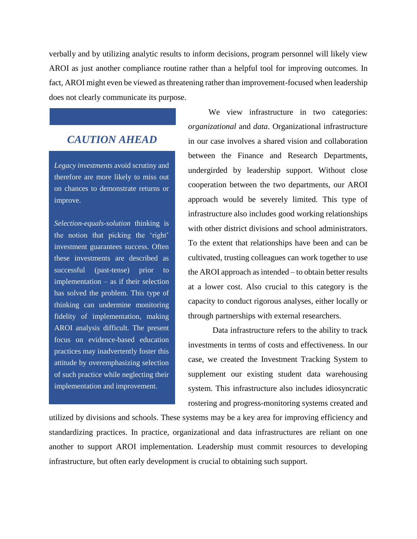verbally and by utilizing analytic results to inform decisions, program personnel will likely view AROI as just another compliance routine rather than a helpful tool for improving outcomes. In fact, AROI might even be viewed as threatening rather than improvement-focused when leadership does not clearly communicate its purpose.

## *CAUTION AHEAD*

*Legacy investments* avoid scrutiny and therefore are more likely to miss out on chances to demonstrate returns or improve.

*Selection-equals-solution* thinking is the notion that picking the 'right' investment guarantees success. Often these investments are described as successful (past-tense) prior to implementation – as if their selection has solved the problem. This type of thinking can undermine monitoring fidelity of implementation, making AROI analysis difficult. The present focus on evidence-based education practices may inadvertently foster this attitude by overemphasizing selection of such practice while neglecting their implementation and improvement.

 We view infrastructure in two categories: *organizational* and *data*. Organizational infrastructure in our case involves a shared vision and collaboration between the Finance and Research Departments, undergirded by leadership support. Without close cooperation between the two departments, our AROI approach would be severely limited. This type of infrastructure also includes good working relationships with other district divisions and school administrators. To the extent that relationships have been and can be cultivated, trusting colleagues can work together to use the AROI approach as intended – to obtain better results at a lower cost. Also crucial to this category is the capacity to conduct rigorous analyses, either locally or through partnerships with external researchers.

Data infrastructure refers to the ability to track investments in terms of costs and effectiveness. In our case, we created the Investment Tracking System to supplement our existing student data warehousing system. This infrastructure also includes idiosyncratic rostering and progress-monitoring systems created and

utilized by divisions and schools. These systems may be a key area for improving efficiency and standardizing practices. In practice, organizational and data infrastructures are reliant on one another to support AROI implementation. Leadership must commit resources to developing infrastructure, but often early development is crucial to obtaining such support.